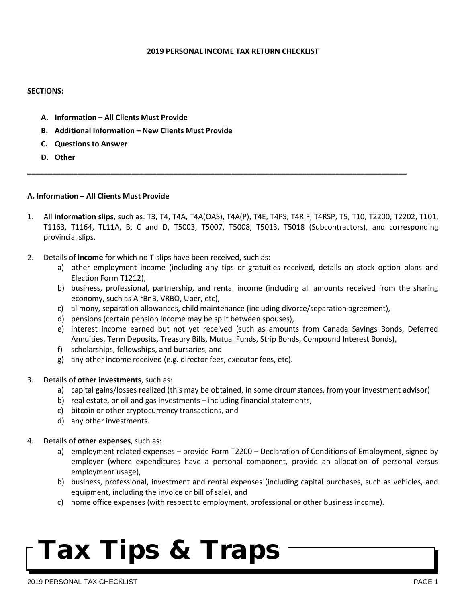#### **2019 PERSONAL INCOME TAX RETURN CHECKLIST**

#### **SECTIONS:**

- **A. Information – All Clients Must Provide**
- **B. Additional Information – New Clients Must Provide**
- **C. Questions to Answer**
- **D. Other**

#### **A. Information – All Clients Must Provide**

1. All **information slips**, such as: T3, T4, T4A, T4A(OAS), T4A(P), T4E, T4PS, T4RIF, T4RSP, T5, T10, T2200, T2202, T101, T1163, T1164, TL11A, B, C and D, T5003, T5007, T5008, T5013, T5018 (Subcontractors), and corresponding provincial slips.

**\_\_\_\_\_\_\_\_\_\_\_\_\_\_\_\_\_\_\_\_\_\_\_\_\_\_\_\_\_\_\_\_\_\_\_\_\_\_\_\_\_\_\_\_\_\_\_\_\_\_\_\_\_\_\_\_\_\_\_\_\_\_\_\_\_\_\_\_\_\_\_\_\_\_\_\_\_\_\_\_\_\_\_\_\_\_\_\_\_\_\_**

- 2. Details of **income** for which no T-slips have been received, such as:
	- a) other employment income (including any tips or gratuities received, details on stock option plans and Election Form T1212),
	- b) business, professional, partnership, and rental income (including all amounts received from the sharing economy, such as AirBnB, VRBO, Uber, etc),
	- c) alimony, separation allowances, child maintenance (including divorce/separation agreement),
	- d) pensions (certain pension income may be split between spouses),
	- e) interest income earned but not yet received (such as amounts from Canada Savings Bonds, Deferred Annuities, Term Deposits, Treasury Bills, Mutual Funds, Strip Bonds, Compound Interest Bonds),
	- f) scholarships, fellowships, and bursaries, and
	- g) any other income received (e.g. director fees, executor fees, etc).
- 3. Details of **other investments**, such as:
	- a) capital gains/losses realized (this may be obtained, in some circumstances, from your investment advisor)
	- b) real estate, or oil and gas investments including financial statements,
	- c) bitcoin or other cryptocurrency transactions, and
	- d) any other investments.
- 4. Details of **other expenses**, such as:
	- a) employment related expenses provide Form T2200 Declaration of Conditions of Employment, signed by employer (where expenditures have a personal component, provide an allocation of personal versus employment usage),
	- b) business, professional, investment and rental expenses (including capital purchases, such as vehicles, and equipment, including the invoice or bill of sale), and
	- c) home office expenses (with respect to employment, professional or other business income).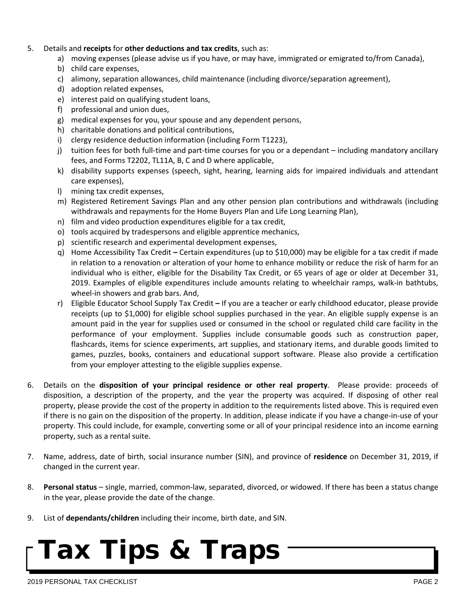- 5. Details and **receipts** for **other deductions and tax credits**, such as:
	- a) moving expenses (please advise us if you have, or may have, immigrated or emigrated to/from Canada),
	- b) child care expenses,
	- c) alimony, separation allowances, child maintenance (including divorce/separation agreement),
	- d) adoption related expenses,
	- e) interest paid on qualifying student loans,
	- f) professional and union dues,
	- g) medical expenses for you, your spouse and any dependent persons,
	- h) charitable donations and political contributions,
	- i) clergy residence deduction information (including Form T1223),
	- j) tuition fees for both full-time and part-time courses for you or a dependant including mandatory ancillary fees, and Forms T2202, TL11A, B, C and D where applicable,
	- k) disability supports expenses (speech, sight, hearing, learning aids for impaired individuals and attendant care expenses),
	- l) mining tax credit expenses,
	- m) Registered Retirement Savings Plan and any other pension plan contributions and withdrawals (including withdrawals and repayments for the Home Buyers Plan and Life Long Learning Plan),
	- n) film and video production expenditures eligible for a tax credit,
	- o) tools acquired by tradespersons and eligible apprentice mechanics,
	- p) scientific research and experimental development expenses,
	- q) Home Accessibility Tax Credit **–** Certain expenditures (up to \$10,000) may be eligible for a tax credit if made in relation to a renovation or alteration of your home to enhance mobility or reduce the risk of harm for an individual who is either, eligible for the Disability Tax Credit, or 65 years of age or older at December 31, 2019. Examples of eligible expenditures include amounts relating to wheelchair ramps, walk-in bathtubs, wheel-in showers and grab bars. And,
	- r) Eligible Educator School Supply Tax Credit **–** If you are a teacher or early childhood educator, please provide receipts (up to \$1,000) for eligible school supplies purchased in the year. An eligible supply expense is an amount paid in the year for supplies used or consumed in the school or regulated child care facility in the performance of your employment. Supplies include consumable goods such as construction paper, flashcards, items for science experiments, art supplies, and stationary items, and durable goods limited to games, puzzles, books, containers and educational support software. Please also provide a certification from your employer attesting to the eligible supplies expense.
- 6. Details on the **disposition of your principal residence or other real property**. Please provide: proceeds of disposition, a description of the property, and the year the property was acquired. If disposing of other real property, please provide the cost of the property in addition to the requirements listed above. This is required even if there is no gain on the disposition of the property. In addition, please indicate if you have a change-in-use of your property. This could include, for example, converting some or all of your principal residence into an income earning property, such as a rental suite.
- 7. Name, address, date of birth, social insurance number (SIN), and province of **residence** on December 31, 2019, if changed in the current year.
- 8. **Personal status**  single, married, common-law, separated, divorced, or widowed. If there has been a status change in the year, please provide the date of the change.
- 9. List of **dependants/children** including their income, birth date, and SIN.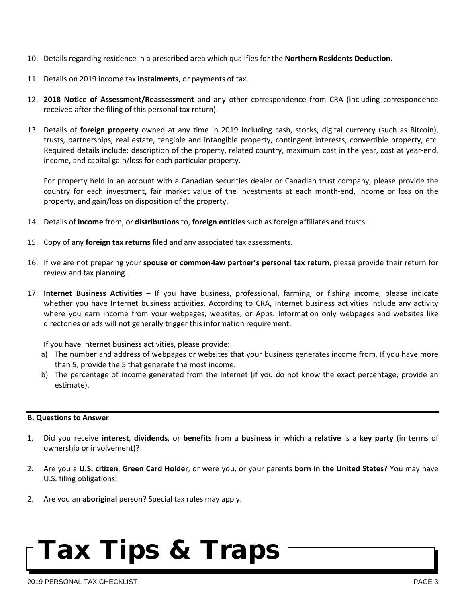- 10. Details regarding residence in a prescribed area which qualifies for the **Northern Residents Deduction.**
- 11. Details on 2019 income tax **instalments**, or payments of tax.
- 12. **2018 Notice of Assessment/Reassessment** and any other correspondence from CRA (including correspondence received after the filing of this personal tax return).
- 13. Details of **foreign property** owned at any time in 2019 including cash, stocks, digital currency (such as Bitcoin), trusts, partnerships, real estate, tangible and intangible property, contingent interests, convertible property, etc. Required details include: description of the property, related country, maximum cost in the year, cost at year-end, income, and capital gain/loss for each particular property.

For property held in an account with a Canadian securities dealer or Canadian trust company, please provide the country for each investment, fair market value of the investments at each month-end, income or loss on the property, and gain/loss on disposition of the property.

- 14. Details of **income** from, or **distributions** to, **foreign entities** such as foreign affiliates and trusts.
- 15. Copy of any **foreign tax returns** filed and any associated tax assessments.
- 16. If we are not preparing your **spouse or common-law partner's personal tax return**, please provide their return for review and tax planning.
- 17. **Internet Business Activities** If you have business, professional, farming, or fishing income, please indicate whether you have Internet business activities. According to CRA, Internet business activities include any activity where you earn income from your webpages, websites, or Apps. Information only webpages and websites like directories or ads will not generally trigger this information requirement.

If you have Internet business activities, please provide:

- a) The number and address of webpages or websites that your business generates income from. If you have more than 5, provide the 5 that generate the most income.
- b) The percentage of income generated from the Internet (if you do not know the exact percentage, provide an estimate).

### **B. Questions to Answer**

- 1. Did you receive **interest**, **dividends**, or **benefits** from a **business** in which a **relative** is a **key party** (in terms of ownership or involvement)?
- 2. Are you a **U.S. citizen**, **Green Card Holder**, or were you, or your parents **born in the United States**? You may have U.S. filing obligations.
- 2. Are you an **aboriginal** person? Special tax rules may apply.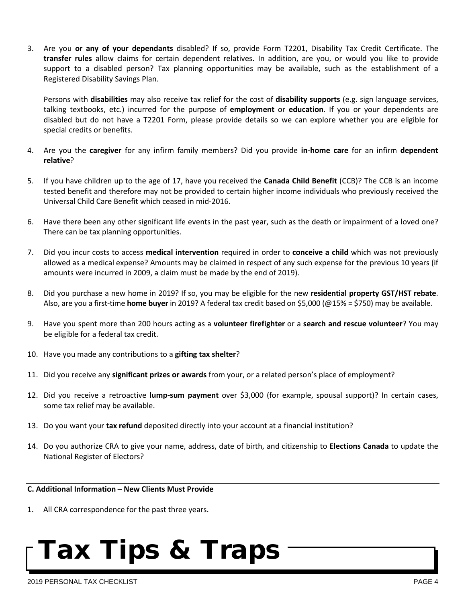3. Are you **or any of your dependants** disabled? If so, provide Form T2201, Disability Tax Credit Certificate. The **transfer rules** allow claims for certain dependent relatives. In addition, are you, or would you like to provide support to a disabled person? Tax planning opportunities may be available, such as the establishment of a Registered Disability Savings Plan.

Persons with **disabilities** may also receive tax relief for the cost of **disability supports** (e.g. sign language services, talking textbooks, etc.) incurred for the purpose of **employment** or **education**. If you or your dependents are disabled but do not have a T2201 Form, please provide details so we can explore whether you are eligible for special credits or benefits.

- 4. Are you the **caregiver** for any infirm family members? Did you provide **in-home care** for an infirm **dependent relative**?
- 5. If you have children up to the age of 17, have you received the **Canada Child Benefit** (CCB)? The CCB is an income tested benefit and therefore may not be provided to certain higher income individuals who previously received the Universal Child Care Benefit which ceased in mid-2016.
- 6. Have there been any other significant life events in the past year, such as the death or impairment of a loved one? There can be tax planning opportunities.
- 7. Did you incur costs to access **medical intervention** required in order to **conceive a child** which was not previously allowed as a medical expense? Amounts may be claimed in respect of any such expense for the previous 10 years (if amounts were incurred in 2009, a claim must be made by the end of 2019).
- 8. Did you purchase a new home in 2019? If so, you may be eligible for the new **residential property GST/HST rebate**. Also, are you a first-time **home buyer** in 2019? A federal tax credit based on \$5,000 (@15% = \$750) may be available.
- 9. Have you spent more than 200 hours acting as a **volunteer firefighter** or a **search and rescue volunteer**? You may be eligible for a federal tax credit.
- 10. Have you made any contributions to a **gifting tax shelter**?
- 11. Did you receive any **significant prizes or awards** from your, or a related person's place of employment?
- 12. Did you receive a retroactive **lump-sum payment** over \$3,000 (for example, spousal support)? In certain cases, some tax relief may be available.
- 13. Do you want your **tax refund** deposited directly into your account at a financial institution?
- 14. Do you authorize CRA to give your name, address, date of birth, and citizenship to **Elections Canada** to update the National Register of Electors?

### **C. Additional Information – New Clients Must Provide**

1. All CRA correspondence for the past three years.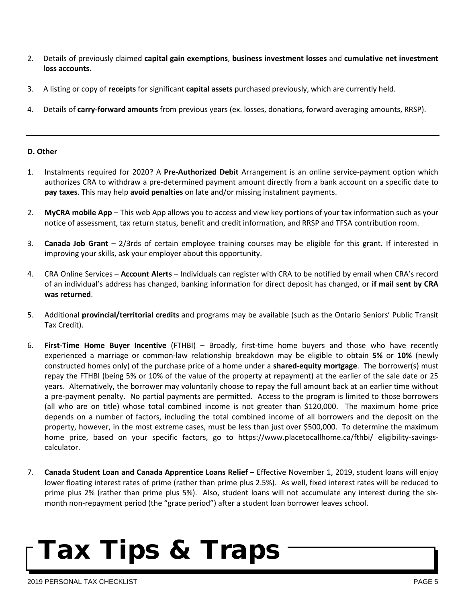- 2. Details of previously claimed **capital gain exemptions**, **business investment losses** and **cumulative net investment loss accounts**.
- 3. A listing or copy of **receipts** for significant **capital assets** purchased previously, which are currently held.
- 4. Details of **carry-forward amounts** from previous years (ex. losses, donations, forward averaging amounts, RRSP).

### **D. Other**

- 1. Instalments required for 2020? A **Pre-Authorized Debit** Arrangement is an online service-payment option which authorizes CRA to withdraw a pre-determined payment amount directly from a bank account on a specific date to **pay taxes**. This may help **avoid penalties** on late and/or missing instalment payments.
- 2. **MyCRA mobile App** This web App allows you to access and view key portions of your tax information such as your notice of assessment, tax return status, benefit and credit information, and RRSP and TFSA contribution room.
- 3. **Canada Job Grant** 2/3rds of certain employee training courses may be eligible for this grant. If interested in improving your skills, ask your employer about this opportunity.
- 4. CRA Online Services **Account Alerts** Individuals can register with CRA to be notified by email when CRA's record of an individual's address has changed, banking information for direct deposit has changed, or **if mail sent by CRA was returned**.
- 5. Additional **provincial/territorial credits** and programs may be available (such as the Ontario Seniors' Public Transit Tax Credit).
- 6. **First-Time Home Buyer Incentive** (FTHBI) Broadly, first-time home buyers and those who have recently experienced a marriage or common-law relationship breakdown may be eligible to obtain **5%** or **10%** (newly constructed homes only) of the purchase price of a home under a **shared-equity mortgage**. The borrower(s) must repay the FTHBI (being 5% or 10% of the value of the property at repayment) at the earlier of the sale date or 25 years. Alternatively, the borrower may voluntarily choose to repay the full amount back at an earlier time without a pre-payment penalty. No partial payments are permitted. Access to the program is limited to those borrowers (all who are on title) whose total combined income is not greater than \$120,000. The maximum home price depends on a number of factors, including the total combined income of all borrowers and the deposit on the property, however, in the most extreme cases, must be less than just over \$500,000. To determine the maximum home price, based on your specific factors, go to https://www.placetocallhome.ca/fthbi/ eligibility-savingscalculator.
- 7. **Canada Student Loan and Canada Apprentice Loans Relief** Effective November 1, 2019, student loans will enjoy lower floating interest rates of prime (rather than prime plus 2.5%). As well, fixed interest rates will be reduced to prime plus 2% (rather than prime plus 5%). Also, student loans will not accumulate any interest during the sixmonth non-repayment period (the "grace period") after a student loan borrower leaves school.